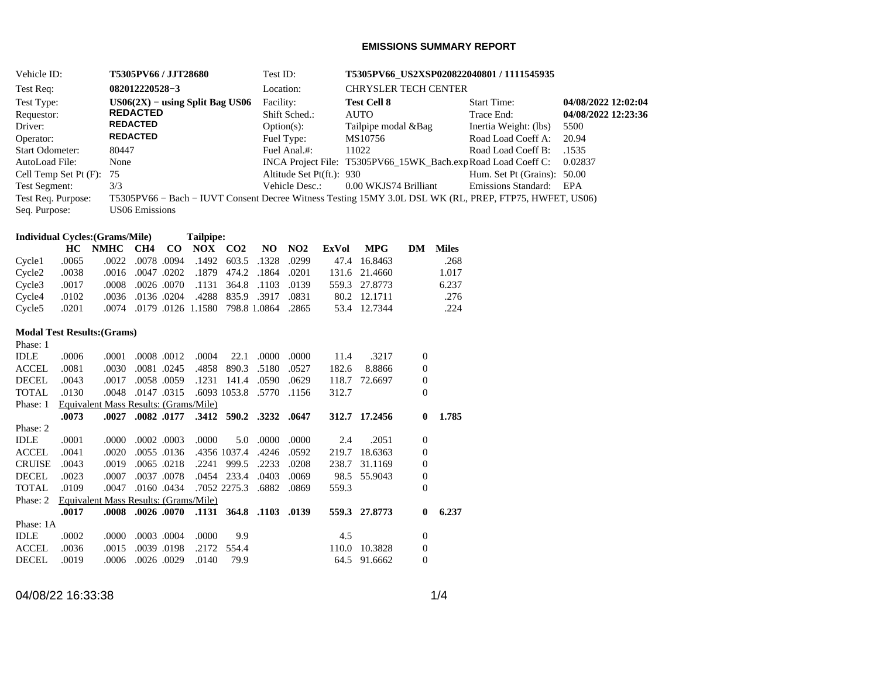## **EMISSIONS SUMMARY REPORT**

| Vehicle ID:                 | T5305PV66 / JJT28680                                                                                   | Test ID:                  | T5305PV66 US2XSP020822040801 / 1111545935                     |                             |                     |
|-----------------------------|--------------------------------------------------------------------------------------------------------|---------------------------|---------------------------------------------------------------|-----------------------------|---------------------|
| Test Req:                   | 082012220528-3                                                                                         | Location:                 | <b>CHRYSLER TECH CENTER</b>                                   |                             |                     |
| Test Type:                  | $US06(2X) - using Split Bag US06$                                                                      | Facility:                 | <b>Test Cell 8</b>                                            | <b>Start Time:</b>          | 04/08/2022 12:02:04 |
| Requestor:                  | <b>REDACTED</b>                                                                                        | Shift Sched.:             | <b>AUTO</b>                                                   | Trace End:                  | 04/08/2022 12:23:36 |
| Driver:                     | <b>REDACTED</b>                                                                                        | $Option(s)$ :             | Tailpipe modal & Bag                                          | Inertia Weight: (lbs)       | 5500                |
| Operator:                   | <b>REDACTED</b>                                                                                        | Fuel Type:                | MS10756                                                       | Road Load Coeff A:          | 20.94               |
| <b>Start Odometer:</b>      | 80447                                                                                                  | Fuel Anal.#:              | 11022                                                         | Road Load Coeff B:          | .1535               |
| AutoLoad File:              | None                                                                                                   |                           | INCA Project File: T5305PV66 15WK Bach.exp Road Load Coeff C: |                             | 0.02837             |
| Cell Temp Set Pt $(F)$ : 75 |                                                                                                        | Altitude Set Pt(ft.): 930 |                                                               | Hum. Set Pt (Grains): 50.00 |                     |
| Test Segment:               | 3/3                                                                                                    | Vehicle Desc.:            | 0.00 WKJS74 Brilliant                                         | Emissions Standard:         | EPA                 |
| Test Req. Purpose:          | T5305PV66 – Bach – IUVT Consent Decree Witness Testing 15MY 3.0L DSL WK (RL, PREP, FTP75, HWFET, US06) |                           |                                                               |                             |                     |
| Seq. Purpose:               | US06 Emissions                                                                                         |                           |                                                               |                             |                     |
|                             |                                                                                                        |                           |                                                               |                             |                     |

# **Individual Cycles:(Grams/Mile) Tailpipe:**

|                           |       | HC NMHC CH4 CO NOX CO2 NO NO2 ExVol MPG DM Miles |  |                                             |  |  |               |       |
|---------------------------|-------|--------------------------------------------------|--|---------------------------------------------|--|--|---------------|-------|
| Cvcle1                    | .0065 |                                                  |  | .0022 .0078 .0094 .1492 603.5 .1328 .0299   |  |  | 47.4 16.8463  | .268  |
| $C$ ycle $2 \qquad .0038$ |       |                                                  |  | .0201 1864. 1879 174.2 0201 0201. 0047.     |  |  | 131.6 21.4660 | 1.017 |
| $C$ vcle $3$ .0017        |       |                                                  |  | .0008 .0026 .0070 .1131 364.8 .1103 .008    |  |  | 559.3 27.8773 | 6.237 |
| $C$ vcle $4$ .0102        |       |                                                  |  | .0036 .0136 .0204 .4288 835.9 .3917 .0036   |  |  | 80.2 12.1711  | .276  |
| Cycle5 .0201              |       |                                                  |  | .0074. 0179.0126 1.1580 798.8 1.0864. 0074. |  |  | 53.4 12.7344  | .224  |

#### **Modal Test Results:(Grams)**  $PL<sub>2</sub>$

| Phase: 1      |       |       |                                       |       |                         |       |       |       |               |                |       |
|---------------|-------|-------|---------------------------------------|-------|-------------------------|-------|-------|-------|---------------|----------------|-------|
| <b>IDLE</b>   | .0006 | .0001 | .0008.0012                            | .0004 | 22.1                    | .0000 | .0000 | 11.4  | .3217         | $\overline{0}$ |       |
| <b>ACCEL</b>  | .0081 | .0030 | .0081.0245                            | .4858 | 890.3                   | .5180 | .0527 | 182.6 | 8.8866        | 0              |       |
| <b>DECEL</b>  | .0043 | .0017 | .0058.0059                            | .1231 | 141.4                   | .0590 | .0629 | 118.7 | 72.6697       | 0              |       |
| <b>TOTAL</b>  | .0130 | .0048 | .0147.0315                            |       | .6093 1053.8            | .5770 | .1156 | 312.7 |               | $\Omega$       |       |
| Phase: 1      |       |       | Equivalent Mass Results: (Grams/Mile) |       |                         |       |       |       |               |                |       |
|               | .0073 | .0027 | .0082 .0177                           |       | .3412 590.2 .3232 .0647 |       |       |       | 312.7 17.2456 | $\mathbf{0}$   | 1.785 |
| Phase: 2      |       |       |                                       |       |                         |       |       |       |               |                |       |
| <b>IDLE</b>   | .0001 | .0000 | $.0002$ $.0003$                       | .0000 | 5.0                     | .0000 | .0000 | 2.4   | .2051         | $\Omega$       |       |
| ACCEL.        | .0041 | .0020 | .0055.0136                            |       | .4356 1037.4            | .4246 | .0592 | 219.7 | 18.6363       | $\Omega$       |       |
| <b>CRUISE</b> | .0043 | .0019 | .0065.0218                            | .2241 | 999.5                   | .2233 | .0208 | 238.7 | 31.1169       | $\Omega$       |       |
| <b>DECEL</b>  | .0023 | .0007 | .0037.0078                            | .0454 | 233.4                   | .0403 | .0069 | 98.5  | 55.9043       | $\mathbf{0}$   |       |
| TOTAL         | .0109 | .0047 | .0160.0434                            |       | .7052 2275.3            | .6882 | .0869 | 559.3 |               | $\Omega$       |       |
| Phase: 2      |       |       | Equivalent Mass Results: (Grams/Mile) |       |                         |       |       |       |               |                |       |
|               | .0017 | .0008 | .0026 .0070                           | .1131 | 364.8 .1103             |       | .0139 |       | 559.3 27.8773 | $\mathbf{0}$   | 6.237 |
| Phase: 1A     |       |       |                                       |       |                         |       |       |       |               |                |       |
| <b>IDLE</b>   | .0002 | .0000 | .0003.0004                            | .0000 | 9.9                     |       |       | 4.5   |               | $\mathbf{0}$   |       |
| ACCEL         | .0036 | .0015 | .0039.0198                            | .2172 | 554.4                   |       |       | 110.0 | 10.3828       | 0              |       |
| <b>DECEL</b>  | .0019 | .0006 | .0026.0029                            | .0140 | 79.9                    |       |       |       | 64.5 91.6662  | $\Omega$       |       |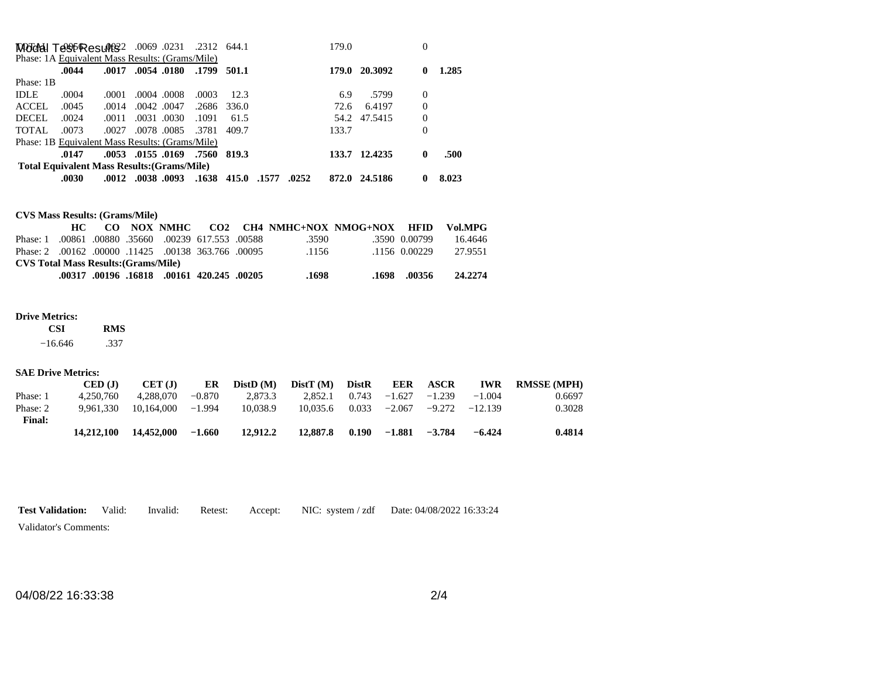|             |       |       | MOGGAI TOSPResult \$2 .0069 .0231 .2312 644.1      |       |             |       | 179.0 |               | 0        |       |
|-------------|-------|-------|----------------------------------------------------|-------|-------------|-------|-------|---------------|----------|-------|
|             |       |       | Phase: 1A Equivalent Mass Results: (Grams/Mile)    |       |             |       |       |               |          |       |
|             | .0044 |       | .0017 .0054 .0180                                  | .1799 | 501.1       |       | 179.0 | 20.3092       | 0        | 1.285 |
| Phase: 1B   |       |       |                                                    |       |             |       |       |               |          |       |
| <b>IDLE</b> | .0004 | .0001 | .0004.0008                                         | .0003 | 12.3        |       | 6.9   | .5799         | $\Omega$ |       |
| ACCEL       | .0045 | .0014 | .0042.0047                                         |       | .2686 336.0 |       | 72.6  | 6.4197        | $\Omega$ |       |
| DECEL       | .0024 | .0011 | .0031.0030                                         | .1091 | 61.5        |       |       | 54.2 47.5415  | $\Omega$ |       |
| TOTAL       | .0073 | .0027 | .0078.0085                                         | .3781 | 409.7       |       | 133.7 |               | 0        |       |
|             |       |       | Phase: 1B Equivalent Mass Results: (Grams/Mile)    |       |             |       |       |               |          |       |
|             | .0147 |       | .0053. .01550169. .7560                            |       | 819.3       |       |       | 133.7 12.4235 | 0        | .500  |
|             |       |       | <b>Total Equivalent Mass Results: (Grams/Mile)</b> |       |             |       |       |               |          |       |
|             | .0030 |       | .0012 .0038 .0093 .1638 415.0 .1577                |       |             | .0252 | 872.0 | 24.5186       | 0        | 8.023 |

**CVS Mass Results: (Grams/Mile)**

|                                                     |  |  |                                                  |       | CO NOX NMHC CO2 CH4 NMHC+NOX NMOG+NOX HFID |               | Vol.MPG |
|-----------------------------------------------------|--|--|--------------------------------------------------|-------|--------------------------------------------|---------------|---------|
| Phase: 1                                            |  |  | .00880 00239 617.553 00588 00860. 00861          | .3590 |                                            | .3590 0.00799 | 16.4646 |
| Phase: 2 .00162 .00000 .11425 .00138 363.766 .00095 |  |  |                                                  | .1156 |                                            | -1156 0.00229 | 27.9551 |
| <b>CVS Total Mass Results: (Grams/Mile)</b>         |  |  |                                                  |       |                                            |               |         |
|                                                     |  |  | ,00205, 420.245 00161, 16818 00161, 00317 00196. | .1698 | .1698                                      | .00356        | 24.2274 |

#### **Drive Metrics:**

 **CSI RMS**   $-16.646$ .337

### **SAE Drive Metrics:**

|               | CED (J)    | CET(J)     | ER       | DistD(M) | DistT(M) | <b>DistR</b> | <b>EER</b> | ASCR     | <b>IWR</b> | <b>RMSSE (MPH)</b> |
|---------------|------------|------------|----------|----------|----------|--------------|------------|----------|------------|--------------------|
| Phase: 1      | 4.250.760  | 4.288.070  | $-0.870$ | 2.873.3  | 2.852.1  | 0.743        | $-1.627$   | $-1.239$ | $-1.004$   | 0.6697             |
| Phase: 2      | 9.961.330  | 10.164.000 | $-1.994$ | 10.038.9 | 10.035.6 | 0.033        | $-2.067$   | $-9.272$ | $-12.139$  | 0.3028             |
| <b>Final:</b> |            |            |          |          |          |              |            |          |            |                    |
|               | 14,212,100 | 14,452,000 | $-1.660$ | 12.912.2 | 12,887.8 | 0.190        | $-1.881$   | $-3.784$ | $-6.424$   | 0.4814             |

|                       |  |  | <b>Test Validation:</b> Valid: Invalid: Retest: Accept: NIC: system / zdf Date: 04/08/2022 16:33:24 |
|-----------------------|--|--|-----------------------------------------------------------------------------------------------------|
| Validator's Comments: |  |  |                                                                                                     |

04/08/22 16:33:38 2/4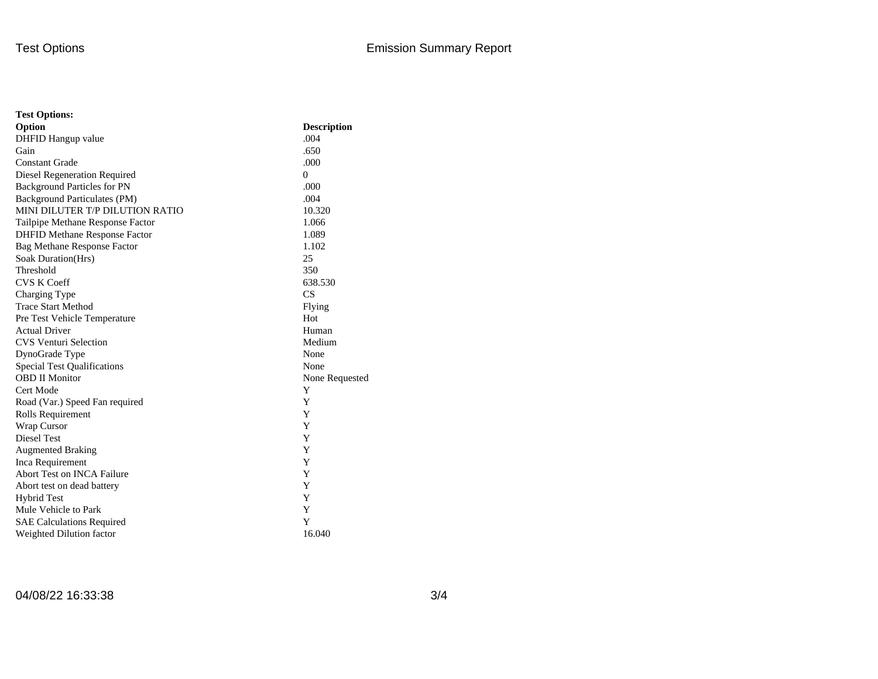| <b>Test Options:</b>                 |                    |
|--------------------------------------|--------------------|
| Option                               | <b>Description</b> |
| DHFID Hangup value                   | .004               |
| Gain                                 | .650               |
| <b>Constant Grade</b>                | .000               |
| Diesel Regeneration Required         | $\Omega$           |
| <b>Background Particles for PN</b>   | .000               |
| Background Particulates (PM)         | .004               |
| MINI DILUTER T/P DILUTION RATIO      | 10.320             |
| Tailpipe Methane Response Factor     | 1.066              |
| <b>DHFID Methane Response Factor</b> | 1.089              |
| <b>Bag Methane Response Factor</b>   | 1.102              |
| Soak Duration(Hrs)                   | 25                 |
| Threshold                            | 350                |
| <b>CVS K Coeff</b>                   | 638.530            |
| Charging Type                        | CS                 |
| <b>Trace Start Method</b>            | Flying             |
| Pre Test Vehicle Temperature         | Hot                |
| <b>Actual Driver</b>                 | Human              |
| <b>CVS Venturi Selection</b>         | Medium             |
| DynoGrade Type                       | None               |
| <b>Special Test Qualifications</b>   | None               |
| <b>OBD II Monitor</b>                | None Requested     |
| Cert Mode                            | Y                  |
| Road (Var.) Speed Fan required       | Y                  |
| Rolls Requirement                    | Y                  |
| Wrap Cursor                          | Y                  |
| Diesel Test                          | Y                  |
| <b>Augmented Braking</b>             | Y                  |
| Inca Requirement                     | Y                  |
| <b>Abort Test on INCA Failure</b>    | Y                  |
| Abort test on dead battery           | Y                  |
| <b>Hybrid Test</b>                   | Y                  |
| Mule Vehicle to Park                 | Y                  |
| <b>SAE Calculations Required</b>     | Y                  |
| Weighted Dilution factor             | 16.040             |